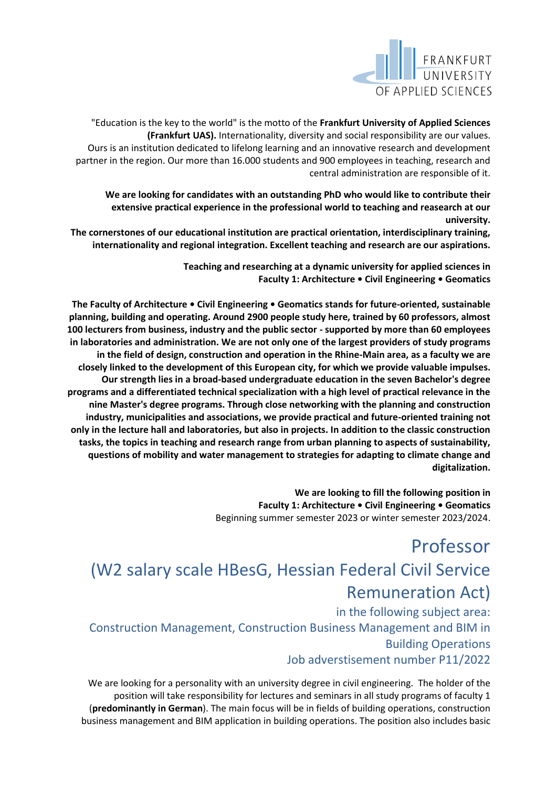

"Education is the key to the world" is the motto of the **Frankfurt University of Applied Sciences (Frankfurt UAS).** Internationality, diversity and social responsibility are our values. Ours is an institution dedicated to lifelong learning and an innovative research and development partner in the region. Our more than 16.000 students and 900 employees in teaching, research and central administration are responsible of it.

**We are looking for candidates with an outstanding PhD who would like to contribute their extensive practical experience in the professional world to teaching and reasearch at our university.**

**The cornerstones of our educational institution are practical orientation, interdisciplinary training, internationality and regional integration. Excellent teaching and research are our aspirations.**

> **Teaching and researching at a dynamic university for applied sciences in Faculty 1: Architecture • Civil Engineering • Geomatics**

**The Faculty of Architecture • Civil Engineering • Geomatics stands for future-oriented, sustainable planning, building and operating. Around 2900 people study here, trained by 60 professors, almost 100 lecturers from business, industry and the public sector - supported by more than 60 employees in laboratories and administration. We are not only one of the largest providers of study programs in the field of design, construction and operation in the Rhine-Main area, as a faculty we are closely linked to the development of this European city, for which we provide valuable impulses. Our strength lies in a broad-based undergraduate education in the seven Bachelor's degree programs and a differentiated technical specialization with a high level of practical relevance in the nine Master's degree programs. Through close networking with the planning and construction industry, municipalities and associations, we provide practical and future-oriented training not only in the lecture hall and laboratories, but also in projects. In addition to the classic construction tasks, the topics in teaching and research range from urban planning to aspects of sustainability, questions of mobility and water management to strategies for adapting to climate change and digitalization.**

> **We are looking to fill the following position in Faculty 1: Architecture • Civil Engineering • Geomatics**  Beginning summer semester 2023 or winter semester 2023/2024.

## Professor (W2 salary scale HBesG, Hessian Federal Civil Service Remuneration Act)

in the following subject area: Construction Management, Construction Business Management and BIM in Building Operations Job adverstisement number P11/2022

We are looking for a personality with an university degree in civil engineering. The holder of the position will take responsibility for lectures and seminars in all study programs of faculty 1 (**predominantly in German**). The main focus will be in fields of building operations, construction business management and BIM application in building operations. The position also includes basic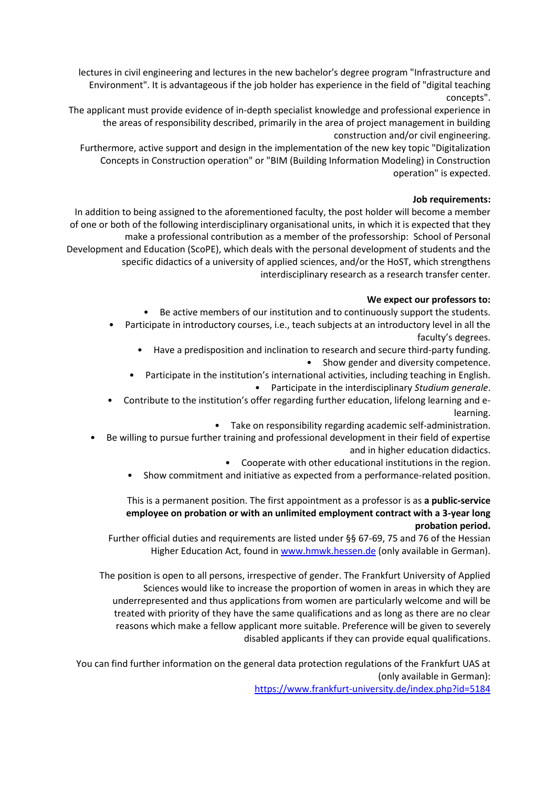lectures in civil engineering and lectures in the new bachelor's degree program "Infrastructure and Environment". It is advantageous if the job holder has experience in the field of "digital teaching concepts".

The applicant must provide evidence of in-depth specialist knowledge and professional experience in the areas of responsibility described, primarily in the area of project management in building construction and/or civil engineering.

Furthermore, active support and design in the implementation of the new key topic "Digitalization Concepts in Construction operation" or "BIM (Building Information Modeling) in Construction operation" is expected.

## **Job requirements:**

In addition to being assigned to the aforementioned faculty, the post holder will become a member of one or both of the following interdisciplinary organisational units, in which it is expected that they make a professional contribution as a member of the professorship: School of Personal Development and Education (ScoPE), which deals with the personal development of students and the specific didactics of a university of applied sciences, and/or the HoST, which strengthens interdisciplinary research as a research transfer center.

## **We expect our professors to:**

Be active members of our institution and to continuously support the students.

- Participate in introductory courses, i.e., teach subjects at an introductory level in all the faculty's degrees.
	- Have a predisposition and inclination to research and secure third-party funding. • Show gender and diversity competence.
	- Participate in the institution's international activities, including teaching in English. • Participate in the interdisciplinary *Studium generale*.
- Contribute to the institution's offer regarding further education, lifelong learning and elearning.
	- Take on responsibility regarding academic self-administration.
- Be willing to pursue further training and professional development in their field of expertise and in higher education didactics.
	- Cooperate with other educational institutions in the region.
	- Show commitment and initiative as expected from a performance-related position.

## This is a permanent position. The first appointment as a professor is as **a public-service employee on probation or with an unlimited employment contract with a 3-year long probation period.**

Further official duties and requirements are listed under §§ 67-69, 75 and 76 of the Hessian Higher Education Act, found in [www.hmwk.hessen.de](http://www.hmwk.hessen.de/) (only available in German).

The position is open to all persons, irrespective of gender. The Frankfurt University of Applied Sciences would like to increase the proportion of women in areas in which they are underrepresented and thus applications from women are particularly welcome and will be treated with priority of they have the same qualifications and as long as there are no clear reasons which make a fellow applicant more suitable. Preference will be given to severely disabled applicants if they can provide equal qualifications.

You can find further information on the general data protection regulations of the Frankfurt UAS at (only available in German):

<https://www.frankfurt-university.de/index.php?id=5184>